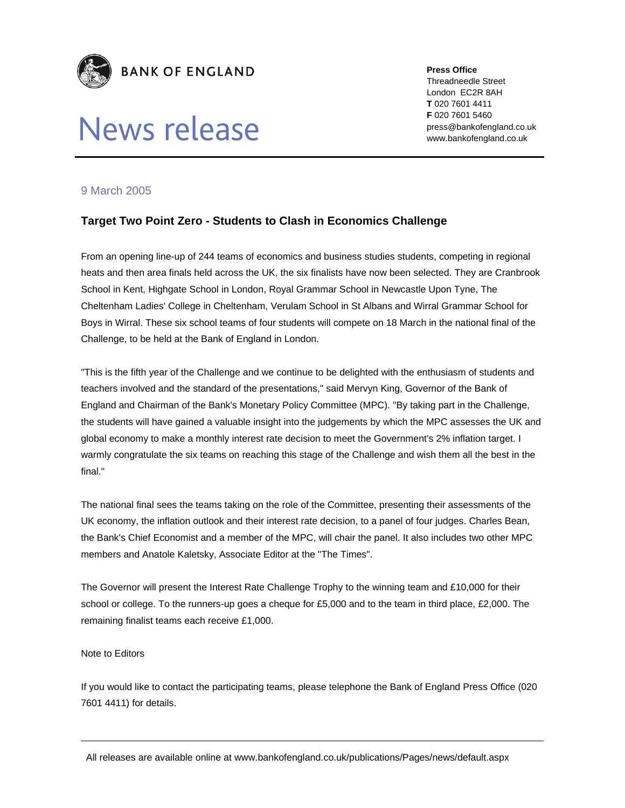

## News release

**Press Office**  Threadneedle Street London EC2R 8AH **T** 020 7601 4411 **F** 020 7601 5460 press@bankofengland.co.uk www.bankofengland.co.uk

## 9 March 2005

## **Target Two Point Zero - Students to Clash in Economics Challenge**

From an opening line-up of 244 teams of economics and business studies students, competing in regional heats and then area finals held across the UK, the six finalists have now been selected. They are Cranbrook School in Kent, Highgate School in London, Royal Grammar School in Newcastle Upon Tyne, The Cheltenham Ladies' College in Cheltenham, Verulam School in St Albans and Wirral Grammar School for Boys in Wirral. These six school teams of four students will compete on 18 March in the national final of the Challenge, to be held at the Bank of England in London.

"This is the fifth year of the Challenge and we continue to be delighted with the enthusiasm of students and teachers involved and the standard of the presentations," said Mervyn King, Governor of the Bank of England and Chairman of the Bank's Monetary Policy Committee (MPC). "By taking part in the Challenge, the students will have gained a valuable insight into the judgements by which the MPC assesses the UK and global economy to make a monthly interest rate decision to meet the Government's 2% inflation target. I warmly congratulate the six teams on reaching this stage of the Challenge and wish them all the best in the final."

The national final sees the teams taking on the role of the Committee, presenting their assessments of the UK economy, the inflation outlook and their interest rate decision, to a panel of four judges. Charles Bean, the Bank's Chief Economist and a member of the MPC, will chair the panel. It also includes two other MPC members and Anatole Kaletsky, Associate Editor at the "The Times".

The Governor will present the Interest Rate Challenge Trophy to the winning team and £10,000 for their school or college. To the runners-up goes a cheque for £5,000 and to the team in third place, £2,000. The remaining finalist teams each receive £1,000.

## Note to Editors

If you would like to contact the participating teams, please telephone the Bank of England Press Office (020 7601 4411) for details.

All releases are available online at www.bankofengland.co.uk/publications/Pages/news/default.aspx